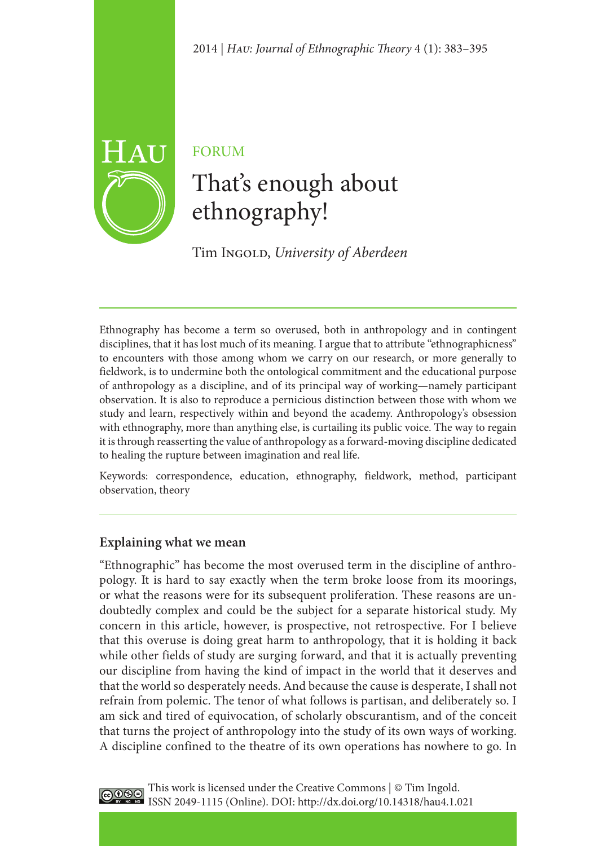# HAU FORUM That's enough about ethnography!

Tim Ingold, University of Aberdeen

Ethnography has become a term so overused, both in anthropology and in contingent disciplines, that it has lost much of its meaning. I argue that to attribute "ethnographicness" to encounters with those among whom we carry on our research, or more generally to fieldwork, is to undermine both the ontological commitment and the educational purpose of anthropology as a discipline, and of its principal way of working—namely participant observation. It is also to reproduce a pernicious distinction between those with whom we study and learn, respectively within and beyond the academy. Anthropology's obsession with ethnography, more than anything else, is curtailing its public voice. The way to regain it is through reasserting the value of anthropology as a forward-moving discipline dedicated to healing the rupture between imagination and real life.

Keywords: correspondence, education, ethnography, fieldwork, method, participant observation, theory

# **Explaining what we mean**

"Ethnographic" has become the most overused term in the discipline of anthropology. It is hard to say exactly when the term broke loose from its moorings, or what the reasons were for its subsequent proliferation. These reasons are undoubtedly complex and could be the subject for a separate historical study. My concern in this article, however, is prospective, not retrospective. For I believe that this overuse is doing great harm to anthropology, that it is holding it back while other fields of study are surging forward, and that it is actually preventing our discipline from having the kind of impact in the world that it deserves and that the world so desperately needs. And because the cause is desperate, I shall not refrain from polemic. The tenor of what follows is partisan, and deliberately so. I am sick and tired of equivocation, of scholarly obscurantism, and of the conceit that turns the project of anthropology into the study of its own ways of working. A discipline confined to the theatre of its own operations has nowhere to go. In



This work is licensed under the Creative Commons | © Tim Ingold. ISSN 2049-1115 (Online). DOI: <http://dx.doi.org/10.14318/hau4.1.021>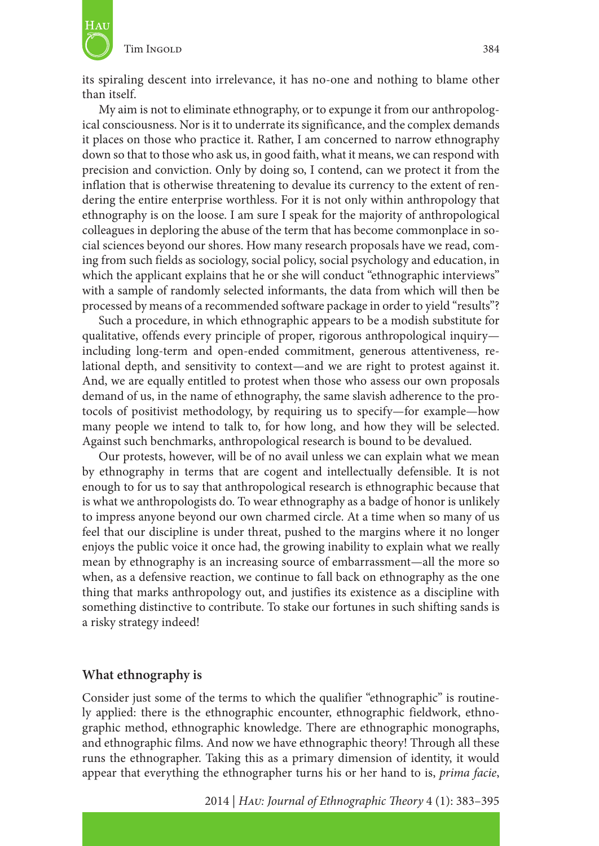

its spiraling descent into irrelevance, it has no-one and nothing to blame other than itself.

My aim is not to eliminate ethnography, or to expunge it from our anthropological consciousness. Nor is it to underrate its significance, and the complex demands it places on those who practice it. Rather, I am concerned to narrow ethnography down so that to those who ask us, in good faith, what it means, we can respond with precision and conviction. Only by doing so, I contend, can we protect it from the inflation that is otherwise threatening to devalue its currency to the extent of rendering the entire enterprise worthless. For it is not only within anthropology that ethnography is on the loose. I am sure I speak for the majority of anthropological colleagues in deploring the abuse of the term that has become commonplace in social sciences beyond our shores. How many research proposals have we read, coming from such fields as sociology, social policy, social psychology and education, in which the applicant explains that he or she will conduct "ethnographic interviews" with a sample of randomly selected informants, the data from which will then be processed by means of a recommended software package in order to yield "results"?

Such a procedure, in which ethnographic appears to be a modish substitute for qualitative, offends every principle of proper, rigorous anthropological inquiry including long-term and open-ended commitment, generous attentiveness, relational depth, and sensitivity to context—and we are right to protest against it. And, we are equally entitled to protest when those who assess our own proposals demand of us, in the name of ethnography, the same slavish adherence to the protocols of positivist methodology, by requiring us to specify—for example—how many people we intend to talk to, for how long, and how they will be selected. Against such benchmarks, anthropological research is bound to be devalued.

Our protests, however, will be of no avail unless we can explain what we mean by ethnography in terms that are cogent and intellectually defensible. It is not enough to for us to say that anthropological research is ethnographic because that is what we anthropologists do. To wear ethnography as a badge of honor is unlikely to impress anyone beyond our own charmed circle. At a time when so many of us feel that our discipline is under threat, pushed to the margins where it no longer enjoys the public voice it once had, the growing inability to explain what we really mean by ethnography is an increasing source of embarrassment—all the more so when, as a defensive reaction, we continue to fall back on ethnography as the one thing that marks anthropology out, and justifies its existence as a discipline with something distinctive to contribute. To stake our fortunes in such shifting sands is a risky strategy indeed!

## **What ethnography is**

Consider just some of the terms to which the qualifier "ethnographic" is routinely applied: there is the ethnographic encounter, ethnographic fieldwork, ethnographic method, ethnographic knowledge. There are ethnographic monographs, and ethnographic films. And now we have ethnographic theory! Through all these runs the ethnographer. Taking this as a primary dimension of identity, it would appear that everything the ethnographer turns his or her hand to is, prima facie,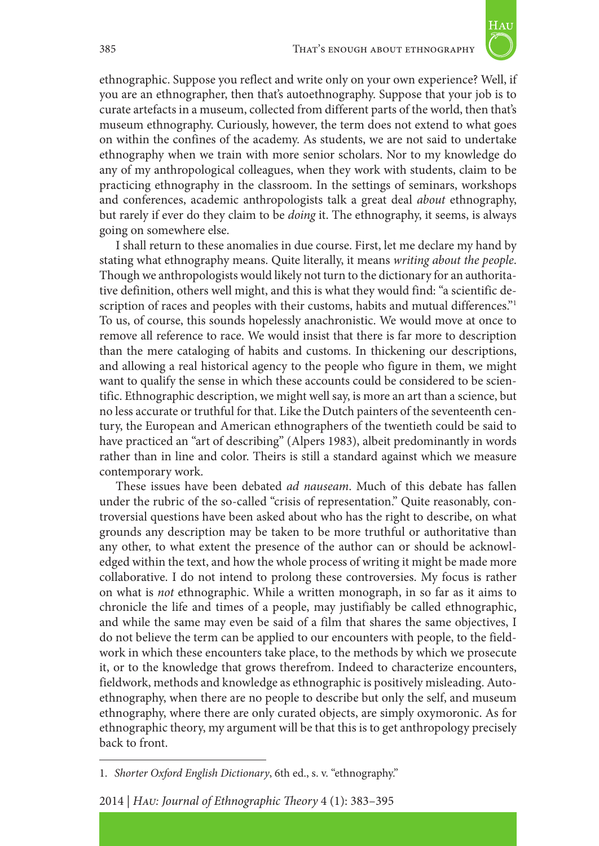

ethnographic. Suppose you reflect and write only on your own experience? Well, if you are an ethnographer, then that's autoethnography. Suppose that your job is to curate artefacts in a museum, collected from different parts of the world, then that's museum ethnography. Curiously, however, the term does not extend to what goes on within the confines of the academy. As students, we are not said to undertake ethnography when we train with more senior scholars. Nor to my knowledge do any of my anthropological colleagues, when they work with students, claim to be practicing ethnography in the classroom. In the settings of seminars, workshops and conferences, academic anthropologists talk a great deal about ethnography, but rarely if ever do they claim to be doing it. The ethnography, it seems, is always going on somewhere else.

I shall return to these anomalies in due course. First, let me declare my hand by stating what ethnography means. Quite literally, it means writing about the people. Though we anthropologists would likely not turn to the dictionary for an authoritative definition, others well might, and this is what they would find: "a scientific description of races and peoples with their customs, habits and mutual differences."<sup>1</sup> To us, of course, this sounds hopelessly anachronistic. We would move at once to remove all reference to race. We would insist that there is far more to description than the mere cataloging of habits and customs. In thickening our descriptions, and allowing a real historical agency to the people who figure in them, we might want to qualify the sense in which these accounts could be considered to be scientific. Ethnographic description, we might well say, is more an art than a science, but no less accurate or truthful for that. Like the Dutch painters of the seventeenth century, the European and American ethnographers of the twentieth could be said to have practiced an "art of describing" (Alpers 1983), albeit predominantly in words rather than in line and color. Theirs is still a standard against which we measure contemporary work.

These issues have been debated ad nauseam. Much of this debate has fallen under the rubric of the so-called "crisis of representation." Quite reasonably, controversial questions have been asked about who has the right to describe, on what grounds any description may be taken to be more truthful or authoritative than any other, to what extent the presence of the author can or should be acknowledged within the text, and how the whole process of writing it might be made more collaborative. I do not intend to prolong these controversies. My focus is rather on what is not ethnographic. While a written monograph, in so far as it aims to chronicle the life and times of a people, may justifiably be called ethnographic, and while the same may even be said of a film that shares the same objectives, I do not believe the term can be applied to our encounters with people, to the fieldwork in which these encounters take place, to the methods by which we prosecute it, or to the knowledge that grows therefrom. Indeed to characterize encounters, fieldwork, methods and knowledge as ethnographic is positively misleading. Autoethnography, when there are no people to describe but only the self, and museum ethnography, where there are only curated objects, are simply oxymoronic. As for ethnographic theory, my argument will be that this is to get anthropology precisely back to front.

<sup>1.</sup> Shorter Oxford English Dictionary, 6th ed., s. v. "ethnography."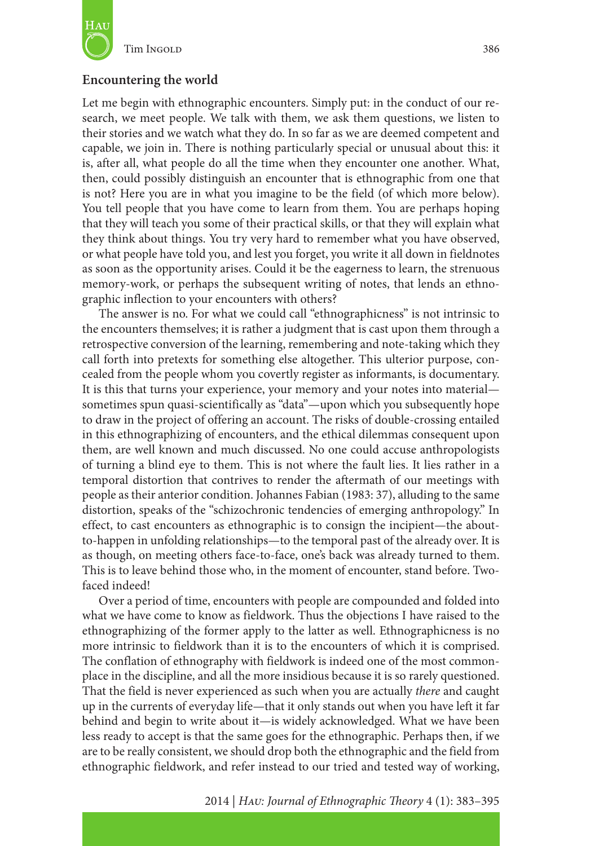

## **Encountering the world**

Let me begin with ethnographic encounters. Simply put: in the conduct of our research, we meet people. We talk with them, we ask them questions, we listen to their stories and we watch what they do. In so far as we are deemed competent and capable, we join in. There is nothing particularly special or unusual about this: it is, after all, what people do all the time when they encounter one another. What, then, could possibly distinguish an encounter that is ethnographic from one that is not? Here you are in what you imagine to be the field (of which more below). You tell people that you have come to learn from them. You are perhaps hoping that they will teach you some of their practical skills, or that they will explain what they think about things. You try very hard to remember what you have observed, or what people have told you, and lest you forget, you write it all down in fieldnotes as soon as the opportunity arises. Could it be the eagerness to learn, the strenuous memory-work, or perhaps the subsequent writing of notes, that lends an ethnographic inflection to your encounters with others?

The answer is no. For what we could call "ethnographicness" is not intrinsic to the encounters themselves; it is rather a judgment that is cast upon them through a retrospective conversion of the learning, remembering and note-taking which they call forth into pretexts for something else altogether. This ulterior purpose, concealed from the people whom you covertly register as informants, is documentary. It is this that turns your experience, your memory and your notes into material sometimes spun quasi-scientifically as "data"—upon which you subsequently hope to draw in the project of offering an account. The risks of double-crossing entailed in this ethnographizing of encounters, and the ethical dilemmas consequent upon them, are well known and much discussed. No one could accuse anthropologists of turning a blind eye to them. This is not where the fault lies. It lies rather in a temporal distortion that contrives to render the aftermath of our meetings with people as their anterior condition. Johannes Fabian (1983: 37), alluding to the same distortion, speaks of the "schizochronic tendencies of emerging anthropology." In effect, to cast encounters as ethnographic is to consign the incipient—the aboutto-happen in unfolding relationships—to the temporal past of the already over. It is as though, on meeting others face-to-face, one's back was already turned to them. This is to leave behind those who, in the moment of encounter, stand before. Twofaced indeed!

Over a period of time, encounters with people are compounded and folded into what we have come to know as fieldwork. Thus the objections I have raised to the ethnographizing of the former apply to the latter as well. Ethnographicness is no more intrinsic to fieldwork than it is to the encounters of which it is comprised. The conflation of ethnography with fieldwork is indeed one of the most commonplace in the discipline, and all the more insidious because it is so rarely questioned. That the field is never experienced as such when you are actually there and caught up in the currents of everyday life—that it only stands out when you have left it far behind and begin to write about it—is widely acknowledged. What we have been less ready to accept is that the same goes for the ethnographic. Perhaps then, if we are to be really consistent, we should drop both the ethnographic and the field from ethnographic fieldwork, and refer instead to our tried and tested way of working,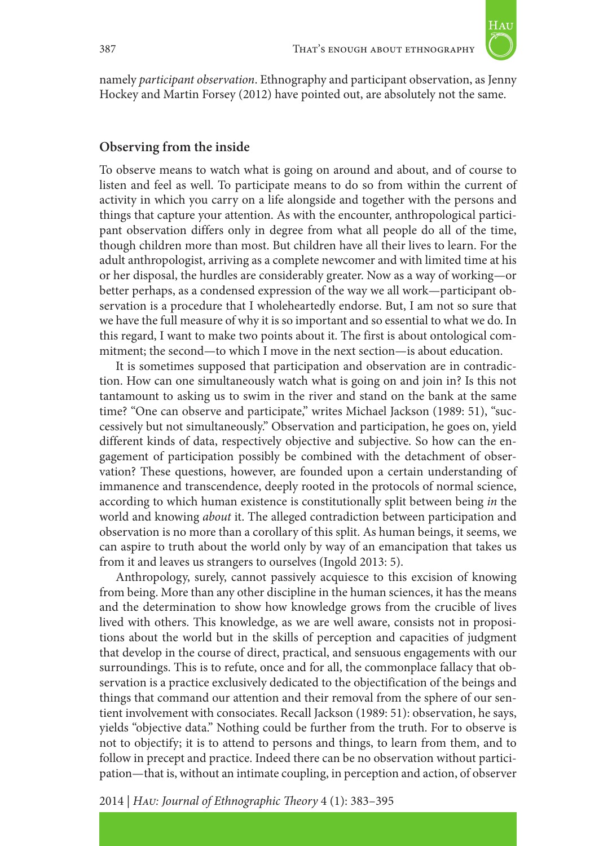

namely participant observation. Ethnography and participant observation, as Jenny Hockey and Martin Forsey (2012) have pointed out, are absolutely not the same.

## **Observing from the inside**

To observe means to watch what is going on around and about, and of course to listen and feel as well. To participate means to do so from within the current of activity in which you carry on a life alongside and together with the persons and things that capture your attention. As with the encounter, anthropological participant observation differs only in degree from what all people do all of the time, though children more than most. But children have all their lives to learn. For the adult anthropologist, arriving as a complete newcomer and with limited time at his or her disposal, the hurdles are considerably greater. Now as a way of working—or better perhaps, as a condensed expression of the way we all work—participant observation is a procedure that I wholeheartedly endorse. But, I am not so sure that we have the full measure of why it is so important and so essential to what we do. In this regard, I want to make two points about it. The first is about ontological commitment; the second—to which I move in the next section—is about education.

It is sometimes supposed that participation and observation are in contradiction. How can one simultaneously watch what is going on and join in? Is this not tantamount to asking us to swim in the river and stand on the bank at the same time? "One can observe and participate," writes Michael Jackson (1989: 51), "successively but not simultaneously." Observation and participation, he goes on, yield different kinds of data, respectively objective and subjective. So how can the engagement of participation possibly be combined with the detachment of observation? These questions, however, are founded upon a certain understanding of immanence and transcendence, deeply rooted in the protocols of normal science, according to which human existence is constitutionally split between being in the world and knowing *about* it. The alleged contradiction between participation and observation is no more than a corollary of this split. As human beings, it seems, we can aspire to truth about the world only by way of an emancipation that takes us from it and leaves us strangers to ourselves (Ingold 2013: 5).

Anthropology, surely, cannot passively acquiesce to this excision of knowing from being. More than any other discipline in the human sciences, it has the means and the determination to show how knowledge grows from the crucible of lives lived with others. This knowledge, as we are well aware, consists not in propositions about the world but in the skills of perception and capacities of judgment that develop in the course of direct, practical, and sensuous engagements with our surroundings. This is to refute, once and for all, the commonplace fallacy that observation is a practice exclusively dedicated to the objectification of the beings and things that command our attention and their removal from the sphere of our sentient involvement with consociates. Recall Jackson (1989: 51): observation, he says, yields "objective data." Nothing could be further from the truth. For to observe is not to objectify; it is to attend to persons and things, to learn from them, and to follow in precept and practice. Indeed there can be no observation without participation—that is, without an intimate coupling, in perception and action, of observer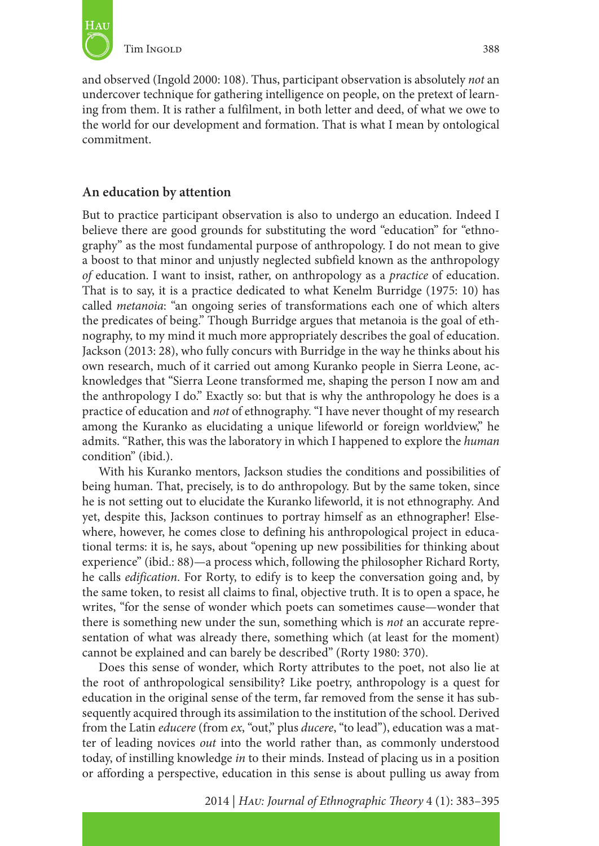

and observed (Ingold 2000: 108). Thus, participant observation is absolutely not an undercover technique for gathering intelligence on people, on the pretext of learning from them. It is rather a fulfilment, in both letter and deed, of what we owe to the world for our development and formation. That is what I mean by ontological commitment.

# **An education by attention**

But to practice participant observation is also to undergo an education. Indeed I believe there are good grounds for substituting the word "education" for "ethnography" as the most fundamental purpose of anthropology. I do not mean to give a boost to that minor and unjustly neglected subfield known as the anthropology of education. I want to insist, rather, on anthropology as a practice of education. That is to say, it is a practice dedicated to what Kenelm Burridge (1975: 10) has called metanoia: "an ongoing series of transformations each one of which alters the predicates of being." Though Burridge argues that metanoia is the goal of ethnography, to my mind it much more appropriately describes the goal of education. Jackson (2013: 28), who fully concurs with Burridge in the way he thinks about his own research, much of it carried out among Kuranko people in Sierra Leone, acknowledges that "Sierra Leone transformed me, shaping the person I now am and the anthropology I do." Exactly so: but that is why the anthropology he does is a practice of education and not of ethnography. "I have never thought of my research among the Kuranko as elucidating a unique lifeworld or foreign worldview," he admits. "Rather, this was the laboratory in which I happened to explore the human condition" (ibid.).

With his Kuranko mentors, Jackson studies the conditions and possibilities of being human. That, precisely, is to do anthropology. But by the same token, since he is not setting out to elucidate the Kuranko lifeworld, it is not ethnography. And yet, despite this, Jackson continues to portray himself as an ethnographer! Elsewhere, however, he comes close to defining his anthropological project in educational terms: it is, he says, about "opening up new possibilities for thinking about experience" (ibid.: 88)—a process which, following the philosopher Richard Rorty, he calls edification. For Rorty, to edify is to keep the conversation going and, by the same token, to resist all claims to final, objective truth. It is to open a space, he writes, "for the sense of wonder which poets can sometimes cause—wonder that there is something new under the sun, something which is *not* an accurate representation of what was already there, something which (at least for the moment) cannot be explained and can barely be described" (Rorty 1980: 370).

Does this sense of wonder, which Rorty attributes to the poet, not also lie at the root of anthropological sensibility? Like poetry, anthropology is a quest for education in the original sense of the term, far removed from the sense it has subsequently acquired through its assimilation to the institution of the school. Derived from the Latin educere (from ex, "out," plus ducere, "to lead"), education was a matter of leading novices out into the world rather than, as commonly understood today, of instilling knowledge in to their minds. Instead of placing us in a position or affording a perspective, education in this sense is about pulling us away from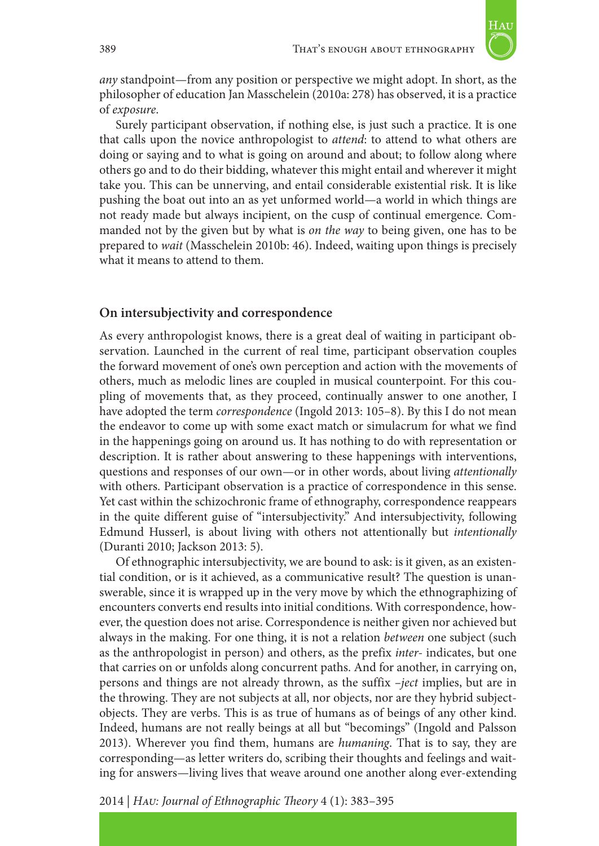

any standpoint—from any position or perspective we might adopt. In short, as the philosopher of education Jan Masschelein (2010a: 278) has observed, it is a practice of exposure.

Surely participant observation, if nothing else, is just such a practice. It is one that calls upon the novice anthropologist to attend: to attend to what others are doing or saying and to what is going on around and about; to follow along where others go and to do their bidding, whatever this might entail and wherever it might take you. This can be unnerving, and entail considerable existential risk. It is like pushing the boat out into an as yet unformed world—a world in which things are not ready made but always incipient, on the cusp of continual emergence. Commanded not by the given but by what is *on the way* to being given, one has to be prepared to wait (Masschelein 2010b: 46). Indeed, waiting upon things is precisely what it means to attend to them.

#### **On intersubjectivity and correspondence**

As every anthropologist knows, there is a great deal of waiting in participant observation. Launched in the current of real time, participant observation couples the forward movement of one's own perception and action with the movements of others, much as melodic lines are coupled in musical counterpoint. For this coupling of movements that, as they proceed, continually answer to one another, I have adopted the term *correspondence* (Ingold 2013: 105-8). By this I do not mean the endeavor to come up with some exact match or simulacrum for what we find in the happenings going on around us. It has nothing to do with representation or description. It is rather about answering to these happenings with interventions, questions and responses of our own—or in other words, about living attentionally with others. Participant observation is a practice of correspondence in this sense. Yet cast within the schizochronic frame of ethnography, correspondence reappears in the quite different guise of "intersubjectivity." And intersubjectivity, following Edmund Husserl, is about living with others not attentionally but intentionally (Duranti 2010; Jackson 2013: 5).

Of ethnographic intersubjectivity, we are bound to ask: is it given, as an existential condition, or is it achieved, as a communicative result? The question is unanswerable, since it is wrapped up in the very move by which the ethnographizing of encounters converts end results into initial conditions. With correspondence, however, the question does not arise. Correspondence is neither given nor achieved but always in the making. For one thing, it is not a relation between one subject (such as the anthropologist in person) and others, as the prefix inter- indicates, but one that carries on or unfolds along concurrent paths. And for another, in carrying on, persons and things are not already thrown, as the suffix –ject implies, but are in the throwing. They are not subjects at all, nor objects, nor are they hybrid subjectobjects. They are verbs. This is as true of humans as of beings of any other kind. Indeed, humans are not really beings at all but "becomings" (Ingold and Palsson 2013). Wherever you find them, humans are humaning. That is to say, they are corresponding—as letter writers do, scribing their thoughts and feelings and waiting for answers—living lives that weave around one another along ever-extending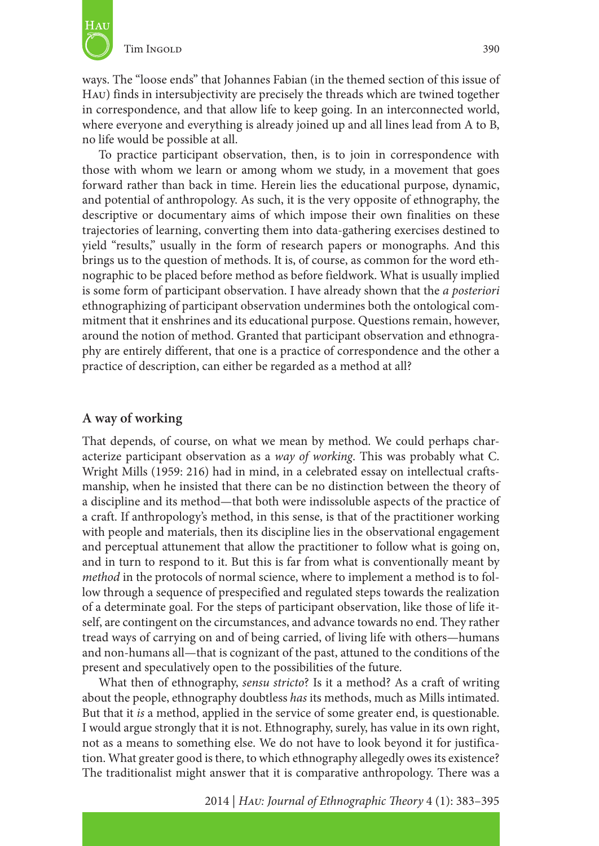

ways. The "loose ends" that Johannes Fabian (in the themed section of this issue of

Hau) finds in intersubjectivity are precisely the threads which are twined together in correspondence, and that allow life to keep going. In an interconnected world, where everyone and everything is already joined up and all lines lead from A to B, no life would be possible at all.

To practice participant observation, then, is to join in correspondence with those with whom we learn or among whom we study, in a movement that goes forward rather than back in time. Herein lies the educational purpose, dynamic, and potential of anthropology. As such, it is the very opposite of ethnography, the descriptive or documentary aims of which impose their own finalities on these trajectories of learning, converting them into data-gathering exercises destined to yield "results," usually in the form of research papers or monographs. And this brings us to the question of methods. It is, of course, as common for the word ethnographic to be placed before method as before fieldwork. What is usually implied is some form of participant observation. I have already shown that the a posteriori ethnographizing of participant observation undermines both the ontological commitment that it enshrines and its educational purpose. Questions remain, however, around the notion of method. Granted that participant observation and ethnography are entirely different, that one is a practice of correspondence and the other a practice of description, can either be regarded as a method at all?

## **A way of working**

That depends, of course, on what we mean by method. We could perhaps characterize participant observation as a way of working. This was probably what C. Wright Mills (1959: 216) had in mind, in a celebrated essay on intellectual craftsmanship, when he insisted that there can be no distinction between the theory of a discipline and its method—that both were indissoluble aspects of the practice of a craft. If anthropology's method, in this sense, is that of the practitioner working with people and materials, then its discipline lies in the observational engagement and perceptual attunement that allow the practitioner to follow what is going on, and in turn to respond to it. But this is far from what is conventionally meant by method in the protocols of normal science, where to implement a method is to follow through a sequence of prespecified and regulated steps towards the realization of a determinate goal. For the steps of participant observation, like those of life itself, are contingent on the circumstances, and advance towards no end. They rather tread ways of carrying on and of being carried, of living life with others—humans and non-humans all—that is cognizant of the past, attuned to the conditions of the present and speculatively open to the possibilities of the future.

What then of ethnography, sensu stricto? Is it a method? As a craft of writing about the people, ethnography doubtless has its methods, much as Mills intimated. But that it is a method, applied in the service of some greater end, is questionable. I would argue strongly that it is not. Ethnography, surely, has value in its own right, not as a means to something else. We do not have to look beyond it for justification. What greater good is there, to which ethnography allegedly owes its existence? The traditionalist might answer that it is comparative anthropology. There was a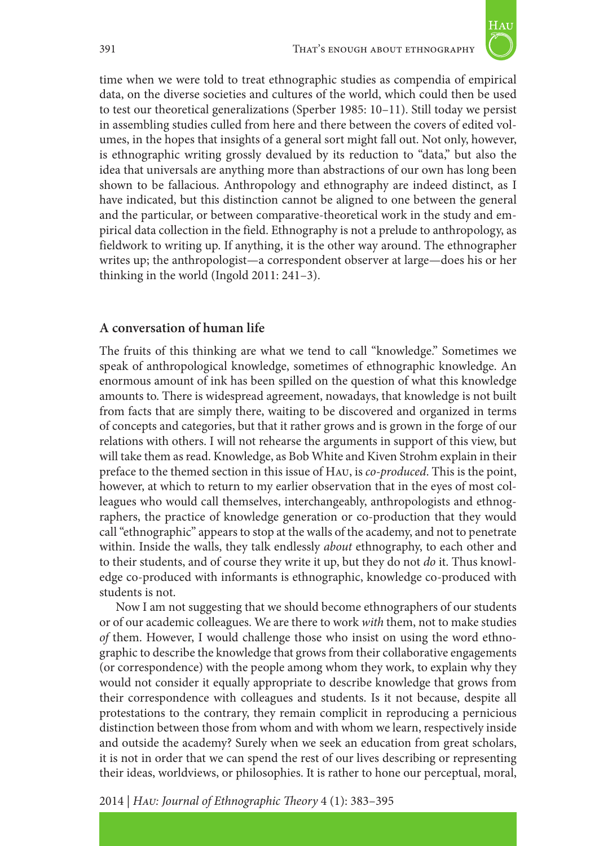

time when we were told to treat ethnographic studies as compendia of empirical data, on the diverse societies and cultures of the world, which could then be used to test our theoretical generalizations (Sperber 1985: 10–11). Still today we persist in assembling studies culled from here and there between the covers of edited volumes, in the hopes that insights of a general sort might fall out. Not only, however, is ethnographic writing grossly devalued by its reduction to "data," but also the idea that universals are anything more than abstractions of our own has long been shown to be fallacious. Anthropology and ethnography are indeed distinct, as I have indicated, but this distinction cannot be aligned to one between the general and the particular, or between comparative-theoretical work in the study and empirical data collection in the field. Ethnography is not a prelude to anthropology, as fieldwork to writing up. If anything, it is the other way around. The ethnographer writes up; the anthropologist—a correspondent observer at large—does his or her thinking in the world (Ingold 2011: 241–3).

## **A conversation of human life**

The fruits of this thinking are what we tend to call "knowledge." Sometimes we speak of anthropological knowledge, sometimes of ethnographic knowledge. An enormous amount of ink has been spilled on the question of what this knowledge amounts to. There is widespread agreement, nowadays, that knowledge is not built from facts that are simply there, waiting to be discovered and organized in terms of concepts and categories, but that it rather grows and is grown in the forge of our relations with others. I will not rehearse the arguments in support of this view, but will take them as read. Knowledge, as Bob White and Kiven Strohm explain in their preface to the themed section in this issue of Hau, is co-produced. This is the point, however, at which to return to my earlier observation that in the eyes of most colleagues who would call themselves, interchangeably, anthropologists and ethnographers, the practice of knowledge generation or co-production that they would call "ethnographic" appears to stop at the walls of the academy, and not to penetrate within. Inside the walls, they talk endlessly *about* ethnography, to each other and to their students, and of course they write it up, but they do not do it. Thus knowledge co-produced with informants is ethnographic, knowledge co-produced with students is not.

Now I am not suggesting that we should become ethnographers of our students or of our academic colleagues. We are there to work with them, not to make studies of them. However, I would challenge those who insist on using the word ethnographic to describe the knowledge that grows from their collaborative engagements (or correspondence) with the people among whom they work, to explain why they would not consider it equally appropriate to describe knowledge that grows from their correspondence with colleagues and students. Is it not because, despite all protestations to the contrary, they remain complicit in reproducing a pernicious distinction between those from whom and with whom we learn, respectively inside and outside the academy? Surely when we seek an education from great scholars, it is not in order that we can spend the rest of our lives describing or representing their ideas, worldviews, or philosophies. It is rather to hone our perceptual, moral,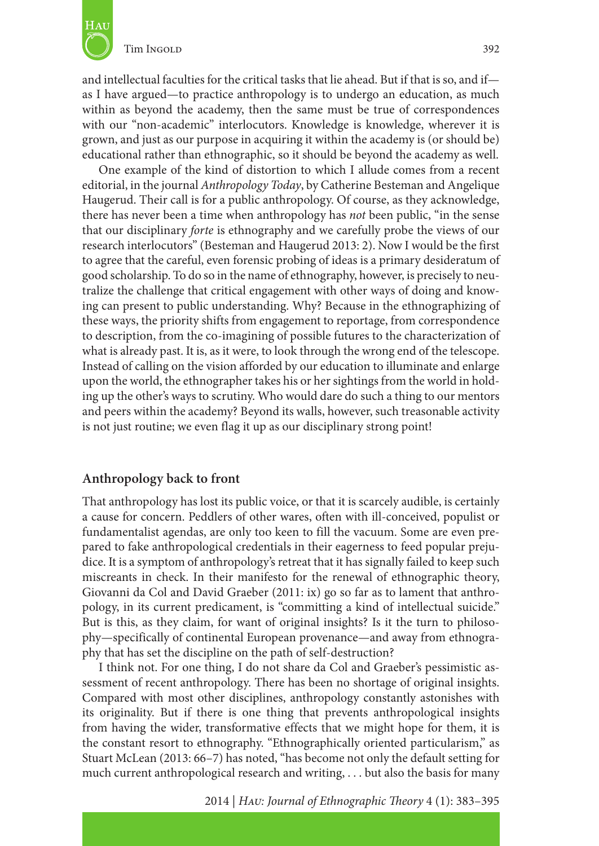

and intellectual faculties for the critical tasks that lie ahead. But if that is so, and if as I have argued—to practice anthropology is to undergo an education, as much within as beyond the academy, then the same must be true of correspondences with our "non-academic" interlocutors. Knowledge is knowledge, wherever it is grown, and just as our purpose in acquiring it within the academy is (or should be) educational rather than ethnographic, so it should be beyond the academy as well.

One example of the kind of distortion to which I allude comes from a recent editorial, in the journal *Anthropology Today*, by Catherine Besteman and Angelique Haugerud. Their call is for a public anthropology. Of course, as they acknowledge, there has never been a time when anthropology has not been public, "in the sense that our disciplinary forte is ethnography and we carefully probe the views of our research interlocutors" (Besteman and Haugerud 2013: 2). Now I would be the first to agree that the careful, even forensic probing of ideas is a primary desideratum of good scholarship. To do so in the name of ethnography, however, is precisely to neutralize the challenge that critical engagement with other ways of doing and knowing can present to public understanding. Why? Because in the ethnographizing of these ways, the priority shifts from engagement to reportage, from correspondence to description, from the co-imagining of possible futures to the characterization of what is already past. It is, as it were, to look through the wrong end of the telescope. Instead of calling on the vision afforded by our education to illuminate and enlarge upon the world, the ethnographer takes his or her sightings from the world in holding up the other's ways to scrutiny. Who would dare do such a thing to our mentors and peers within the academy? Beyond its walls, however, such treasonable activity is not just routine; we even flag it up as our disciplinary strong point!

## **Anthropology back to front**

That anthropology has lost its public voice, or that it is scarcely audible, is certainly a cause for concern. Peddlers of other wares, often with ill-conceived, populist or fundamentalist agendas, are only too keen to fill the vacuum. Some are even prepared to fake anthropological credentials in their eagerness to feed popular prejudice. It is a symptom of anthropology's retreat that it has signally failed to keep such miscreants in check. In their manifesto for the renewal of ethnographic theory, Giovanni da Col and David Graeber (2011: ix) go so far as to lament that anthropology, in its current predicament, is "committing a kind of intellectual suicide." But is this, as they claim, for want of original insights? Is it the turn to philosophy—specifically of continental European provenance—and away from ethnography that has set the discipline on the path of self-destruction?

I think not. For one thing, I do not share da Col and Graeber's pessimistic assessment of recent anthropology. There has been no shortage of original insights. Compared with most other disciplines, anthropology constantly astonishes with its originality. But if there is one thing that prevents anthropological insights from having the wider, transformative effects that we might hope for them, it is the constant resort to ethnography. "Ethnographically oriented particularism," as Stuart McLean (2013: 66–7) has noted, "has become not only the default setting for much current anthropological research and writing, . . . but also the basis for many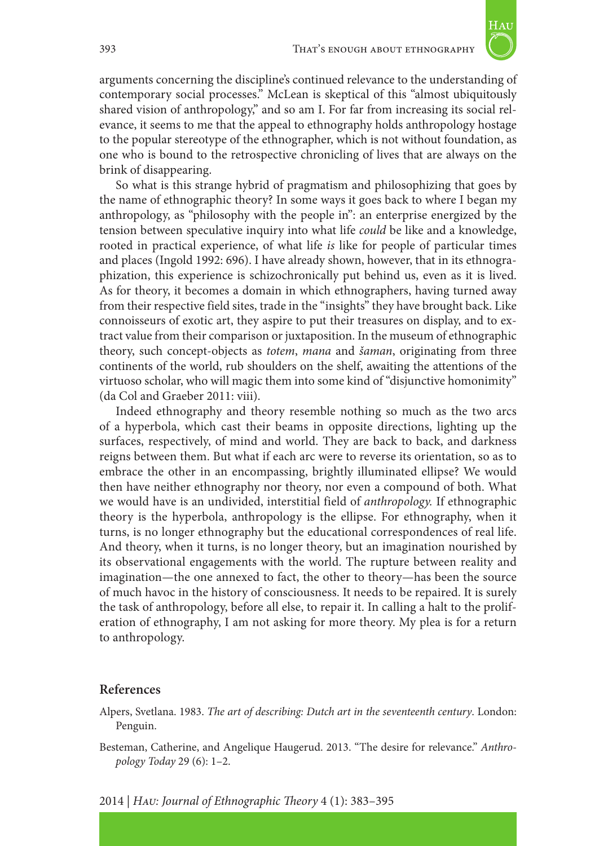

arguments concerning the discipline's continued relevance to the understanding of contemporary social processes." McLean is skeptical of this "almost ubiquitously shared vision of anthropology," and so am I. For far from increasing its social relevance, it seems to me that the appeal to ethnography holds anthropology hostage to the popular stereotype of the ethnographer, which is not without foundation, as one who is bound to the retrospective chronicling of lives that are always on the brink of disappearing.

So what is this strange hybrid of pragmatism and philosophizing that goes by the name of ethnographic theory? In some ways it goes back to where I began my anthropology, as "philosophy with the people in": an enterprise energized by the tension between speculative inquiry into what life could be like and a knowledge, rooted in practical experience, of what life is like for people of particular times and places (Ingold 1992: 696). I have already shown, however, that in its ethnographization, this experience is schizochronically put behind us, even as it is lived. As for theory, it becomes a domain in which ethnographers, having turned away from their respective field sites, trade in the "insights" they have brought back. Like connoisseurs of exotic art, they aspire to put their treasures on display, and to extract value from their comparison or juxtaposition. In the museum of ethnographic theory, such concept-objects as totem, mana and šaman, originating from three continents of the world, rub shoulders on the shelf, awaiting the attentions of the virtuoso scholar, who will magic them into some kind of "disjunctive homonimity" (da Col and Graeber 2011: viii).

Indeed ethnography and theory resemble nothing so much as the two arcs of a hyperbola, which cast their beams in opposite directions, lighting up the surfaces, respectively, of mind and world. They are back to back, and darkness reigns between them. But what if each arc were to reverse its orientation, so as to embrace the other in an encompassing, brightly illuminated ellipse? We would then have neither ethnography nor theory, nor even a compound of both. What we would have is an undivided, interstitial field of anthropology. If ethnographic theory is the hyperbola, anthropology is the ellipse. For ethnography, when it turns, is no longer ethnography but the educational correspondences of real life. And theory, when it turns, is no longer theory, but an imagination nourished by its observational engagements with the world. The rupture between reality and imagination—the one annexed to fact, the other to theory—has been the source of much havoc in the history of consciousness. It needs to be repaired. It is surely the task of anthropology, before all else, to repair it. In calling a halt to the proliferation of ethnography, I am not asking for more theory. My plea is for a return to anthropology.

#### **References**

Alpers, Svetlana. 1983. The art of describing: Dutch art in the seventeenth century. London: Penguin.

Besteman, Catherine, and Angelique Haugerud. 2013. "The desire for relevance." Anthropology Today 29 (6): 1–2.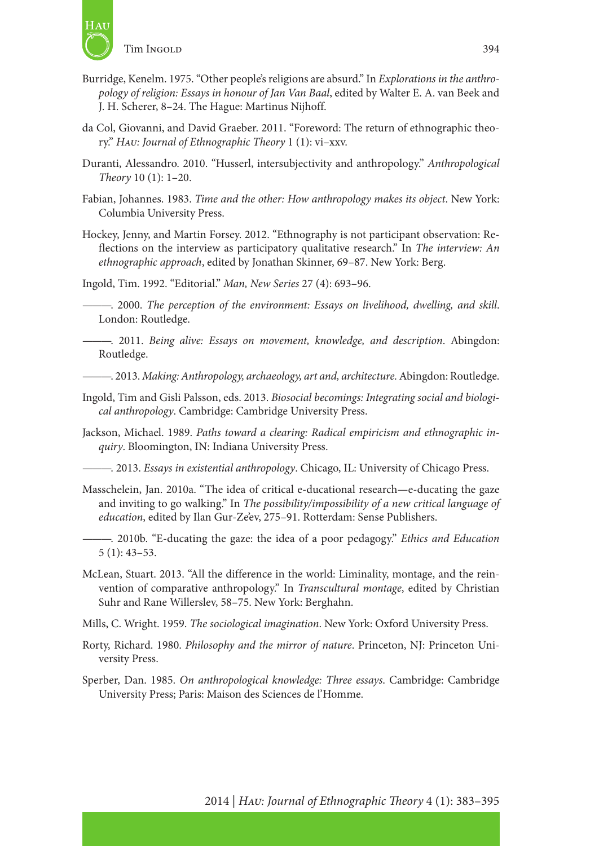- Burridge, Kenelm. 1975. "Other people's religions are absurd." In Explorations in the anthropology of religion: Essays in honour of Jan Van Baal, edited by Walter E. A. van Beek and J. H. Scherer, 8–24. The Hague: Martinus Nijhoff.
- da Col, Giovanni, and David Graeber. 2011. "Foreword: The return of ethnographic theory." Hau: Journal of Ethnographic Theory 1 (1): vi–xxv.
- Duranti, Alessandro. 2010. "Husserl, intersubjectivity and anthropology." Anthropological Theory 10 (1): 1–20.
- Fabian, Johannes. 1983. Time and the other: How anthropology makes its object. New York: Columbia University Press.
- Hockey, Jenny, and Martin Forsey. 2012. "Ethnography is not participant observation: Reflections on the interview as participatory qualitative research." In The interview: An ethnographic approach, edited by Jonathan Skinner, 69–87. New York: Berg.

Ingold, Tim. 1992. "Editorial." Man, New Series 27 (4): 693–96.

———. 2000. The perception of the environment: Essays on livelihood, dwelling, and skill. London: Routledge.

———. 2011. Being alive: Essays on movement, knowledge, and description. Abingdon: Routledge.

———. 2013. Making: Anthropology, archaeology, art and, architecture. Abingdon: Routledge.

Ingold, Tim and Gisli Palsson, eds. 2013. Biosocial becomings: Integrating social and biological anthropology. Cambridge: Cambridge University Press.

Jackson, Michael. 1989. Paths toward a clearing: Radical empiricism and ethnographic inquiry. Bloomington, IN: Indiana University Press.

———. 2013. Essays in existential anthropology. Chicago, IL: University of Chicago Press.

- Masschelein, Jan. 2010a. "The idea of critical e-ducational research—e-ducating the gaze and inviting to go walking." In The possibility/impossibility of a new critical language of education, edited by Ilan Gur-Ze'ev, 275–91. Rotterdam: Sense Publishers.
- ———. 2010b. "E-ducating the gaze: the idea of a poor pedagogy." Ethics and Education 5 (1): 43–53.
- McLean, Stuart. 2013. "All the difference in the world: Liminality, montage, and the reinvention of comparative anthropology." In Transcultural montage, edited by Christian Suhr and Rane Willerslev, 58–75. New York: Berghahn.
- Mills, C. Wright. 1959. The sociological imagination. New York: Oxford University Press.
- Rorty, Richard. 1980. Philosophy and the mirror of nature. Princeton, NJ: Princeton University Press.
- Sperber, Dan. 1985. On anthropological knowledge: Three essays. Cambridge: Cambridge University Press; Paris: Maison des Sciences de l'Homme.